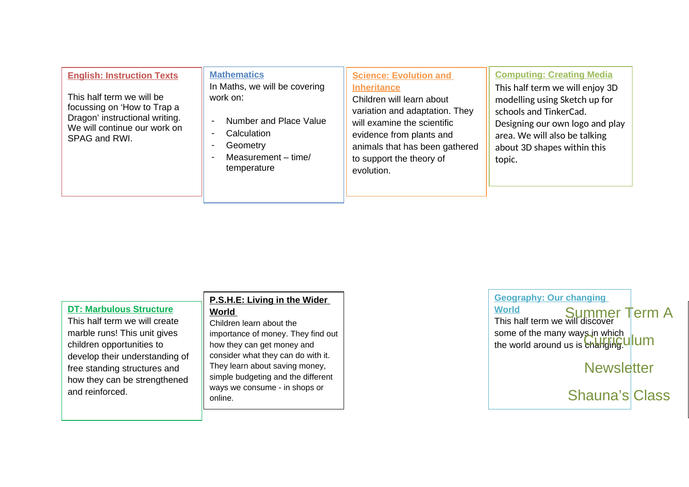| <b>English: Instruction Texts</b><br>This half term we will be<br>focussing on 'How to Trap a<br>Dragon' instructional writing.<br>We will continue our work on<br>SPAG and RWI. | <b>Mathematics</b><br>In Maths, we will be covering<br>work on:<br>Number and Place Value<br>Calculation<br>Geometry<br>Measurement - time/<br>temperature | <b>Science: Evolution and</b><br><b>Inheritance</b><br>Children will learn about<br>variation and adaptation. They<br>will examine the scientific<br>evidence from plants and<br>animals that has been gathered<br>to support the theory of<br>evolution. | <b>Computing: Creating Media</b><br>This half term we will enjoy 3D<br>modelling using Sketch up for<br>schools and TinkerCad.<br>Designing our own logo and play<br>area. We will also be talking<br>about 3D shapes within this<br>topic. |
|----------------------------------------------------------------------------------------------------------------------------------------------------------------------------------|------------------------------------------------------------------------------------------------------------------------------------------------------------|-----------------------------------------------------------------------------------------------------------------------------------------------------------------------------------------------------------------------------------------------------------|---------------------------------------------------------------------------------------------------------------------------------------------------------------------------------------------------------------------------------------------|
|----------------------------------------------------------------------------------------------------------------------------------------------------------------------------------|------------------------------------------------------------------------------------------------------------------------------------------------------------|-----------------------------------------------------------------------------------------------------------------------------------------------------------------------------------------------------------------------------------------------------------|---------------------------------------------------------------------------------------------------------------------------------------------------------------------------------------------------------------------------------------------|

|                                                                                                                                                                                                                                                   | P.S.H.E: Living in the Wider                                                                                                                                                                                                                                           |  |
|---------------------------------------------------------------------------------------------------------------------------------------------------------------------------------------------------------------------------------------------------|------------------------------------------------------------------------------------------------------------------------------------------------------------------------------------------------------------------------------------------------------------------------|--|
| <b>DT: Marbulous Structure</b><br>This half term we will create<br>marble runs! This unit gives<br>children opportunities to<br>develop their understanding of<br>free standing structures and<br>how they can be strengthened<br>and reinforced. | <b>World</b><br>Children learn about the<br>importance of money. They find out<br>how they can get money and<br>consider what they can do with it.<br>They learn about saving money,<br>simple budgeting and the different<br>ways we consume - in shops or<br>online. |  |
|                                                                                                                                                                                                                                                   |                                                                                                                                                                                                                                                                        |  |

**Geography: Our changing World** World<br>This half term we will discover Term A some of the many ways in which some of the many ways in which **up** UI UI OI Note that you are not the world around us is **changing.** 

**Newsletter** 

Shauna's Class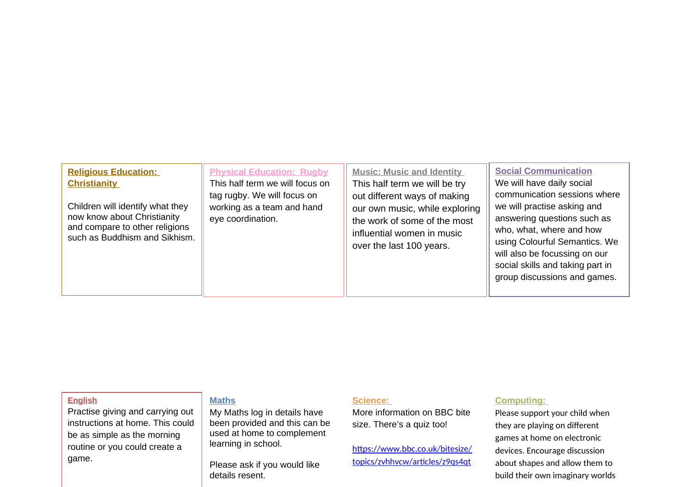| <b>Religious Education:</b><br><b>Christianity</b><br>Children will identify what they<br>now know about Christianity<br>and compare to other religions<br>such as Buddhism and Sikhism. | <b>Physical Education: Rugby</b><br>This half term we will focus on<br>tag rugby. We will focus on<br>working as a team and hand<br>eye coordination. | <b>Music: Music and Identity</b><br>This half term we will be try<br>out different ways of making<br>our own music, while exploring<br>the work of some of the most<br>influential women in music<br>over the last 100 years. | <b>Social Communication</b><br>We will have daily social<br>communication sessions where<br>we will practise asking and<br>answering questions such as<br>who, what, where and how<br>using Colourful Semantics. We<br>will also be focussing on our<br>social skills and taking part in<br>group discussions and games. |
|------------------------------------------------------------------------------------------------------------------------------------------------------------------------------------------|-------------------------------------------------------------------------------------------------------------------------------------------------------|-------------------------------------------------------------------------------------------------------------------------------------------------------------------------------------------------------------------------------|--------------------------------------------------------------------------------------------------------------------------------------------------------------------------------------------------------------------------------------------------------------------------------------------------------------------------|
|------------------------------------------------------------------------------------------------------------------------------------------------------------------------------------------|-------------------------------------------------------------------------------------------------------------------------------------------------------|-------------------------------------------------------------------------------------------------------------------------------------------------------------------------------------------------------------------------------|--------------------------------------------------------------------------------------------------------------------------------------------------------------------------------------------------------------------------------------------------------------------------------------------------------------------------|

### **English**

Practise giving and carrying out instructions at home. This could be as simple as the morning routine or you could create a game.

# **Maths**

My Maths log in details have been provided and this can be used at home to complement learning in school.

Please ask if you would like details resent.

#### **Science:**

More information on BBC bite size. There's a quiz too!

[https://www.bbc.co.uk/bitesize/](https://www.bbc.co.uk/bitesize/topics/zvhhvcw/articles/z9qs4qt) [topics/zvhhvcw/articles/z9qs4qt](https://www.bbc.co.uk/bitesize/topics/zvhhvcw/articles/z9qs4qt)

# **Computing:**

Please support your child when they are playing on different games at home on electronic devices. Encourage discussion about shapes and allow them to build their own imaginary worlds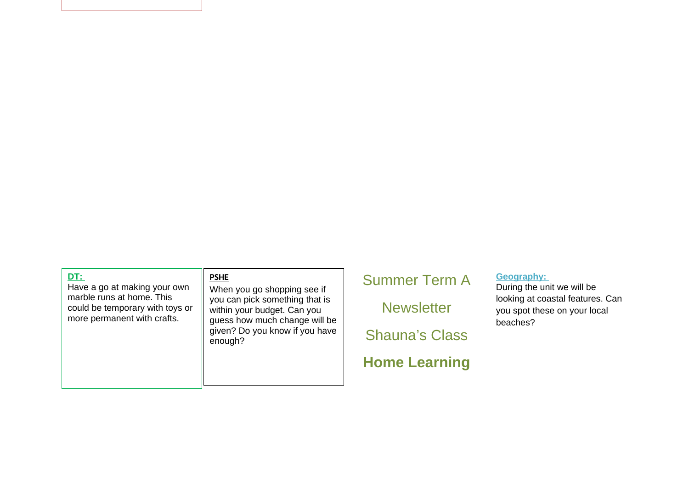#### **DT:**

Have a go at making your own marble runs at home. This could be temporary with toys or more permanent with crafts.

# **PSHE**

When you go shopping see if you can pick something that is within your budget. Can you guess how much change will be given? Do you know if you have enough?

# Summer Term A

**Newsletter** 

Shauna's Class

# **Home Learning**

# **Geography:**

During the unit we will be looking at coastal features. Can you spot these on your local beaches?